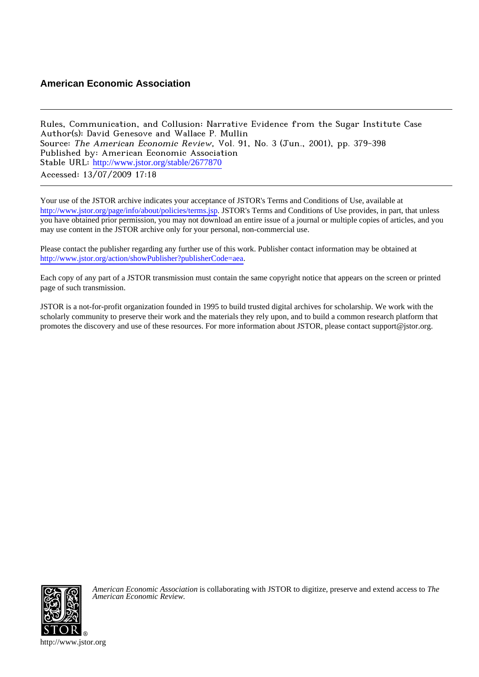# **American Economic Association**

Rules, Communication, and Collusion: Narrative Evidence from the Sugar Institute Case Author(s): David Genesove and Wallace P. Mullin Source: The American Economic Review, Vol. 91, No. 3 (Jun., 2001), pp. 379-398 Published by: American Economic Association Stable URL: [http://www.jstor.org/stable/2677870](http://www.jstor.org/stable/2677870?origin=JSTOR-pdf) Accessed: 13/07/2009 17:18

Your use of the JSTOR archive indicates your acceptance of JSTOR's Terms and Conditions of Use, available at <http://www.jstor.org/page/info/about/policies/terms.jsp>. JSTOR's Terms and Conditions of Use provides, in part, that unless you have obtained prior permission, you may not download an entire issue of a journal or multiple copies of articles, and you may use content in the JSTOR archive only for your personal, non-commercial use.

Please contact the publisher regarding any further use of this work. Publisher contact information may be obtained at <http://www.jstor.org/action/showPublisher?publisherCode=aea>.

Each copy of any part of a JSTOR transmission must contain the same copyright notice that appears on the screen or printed page of such transmission.

JSTOR is a not-for-profit organization founded in 1995 to build trusted digital archives for scholarship. We work with the scholarly community to preserve their work and the materials they rely upon, and to build a common research platform that promotes the discovery and use of these resources. For more information about JSTOR, please contact support@jstor.org.



*American Economic Association* is collaborating with JSTOR to digitize, preserve and extend access to *The American Economic Review.*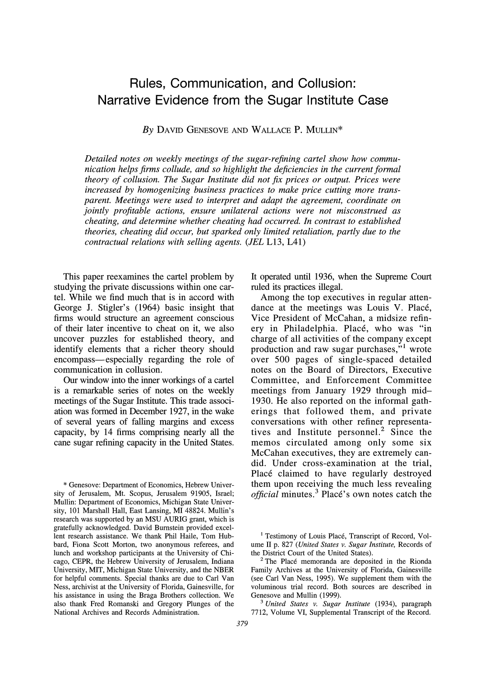# **Rules, Communication, and Collusion: Narrative Evidence from the Sugar Institute Case**

**By DAVID GENESOVE AND WALLACE P. MULLIN\*** 

**Detailed notes on weekly meetings of the sugar-refining cartel show how communication helps firms collude, and so highlight the deficiencies in the current formal theory of collusion. The Sugar Institute did not fix prices or output. Prices were increased by homogenizing business practices to make price cutting more transparent. Meetings were used to interpret and adapt the agreement, coordinate on jointly profitable actions, ensure unilateral actions were not misconstrued as cheating, and determine whether cheating had occurred. In contrast to established theories, cheating did occur, but sparked only limited retaliation, partly due to the contractual relations with selling agents. (JEL L13, L41)** 

**This paper reexamines the cartel problem by studying the private discussions within one cartel. While we find much that is in accord with George J. Stigler's (1964) basic insight that firms would structure an agreement conscious of their later incentive to cheat on it, we also uncover puzzles for established theory, and identify elements that a richer theory should encompass-especially regarding the role of communication in collusion.** 

**Our window into the inner workings of a cartel is a remarkable series of notes on the weekly meetings of the Sugar Institute. This trade association was formed in December 1927, in the wake of several years of falling margins and excess capacity, by 14 firms comprising nearly all the cane sugar refining capacity in the United States.** 

**\* Genesove: Department of Economics, Hebrew University of Jerusalem, Mt. Scopus, Jerusalem 91905, Israel; Mullin: Department of Economics, Michigan State University, 101 Marshall Hall, East Lansing, MI 48824. Mullin's research was supported by an MSU AURIG grant, which is gratefully acknowledged. David Bumstein provided excellent research assistance. We thank Phil Haile, Tom Hubbard, Fiona Scott Morton, two anonymous referees, and lunch and workshop participants at the University of Chicago, CEPR, the Hebrew University of Jerusalem, Indiana University, MIT, Michigan State University, and the NBER for helpful comments. Special thanks are due to Carl Van Ness, archivist at the University of Florida, Gainesville, for his assistance in using the Braga Brothers collection. We also thank Fred Romanski and Gregory Plunges of the National Archives and Records Administration.** 

**Vice President of McCahan, a midsize refinery in Philadelphia. Place, who was "in** 

**ruled its practices illegal.** 

**It operated until 1936, when the Supreme Court** 

**Among the top executives in regular attendance at the meetings was Louis V. Place,** 

**charge of all activities of the company except production and raw sugar purchases,"' wrote over 500 pages of single-spaced detailed notes on the Board of Directors, Executive Committee, and Enforcement Committee meetings from January 1929 through mid-1930. He also reported on the informal gatherings that followed them, and private conversations with other refiner representatives and Institute personnel.2 Since the memos circulated among only some six McCahan executives, they are extremely candid. Under cross-examination at the trial, Place claimed to have regularly destroyed them upon receiving the much less revealing official minutes.3 Place's own notes catch the** 

**<sup>3</sup>United States v. Sugar Institute (1934), paragraph 7712, Volume VI, Supplemental Transcript of the Record.** 

<sup>&</sup>lt;sup>1</sup> Testimony of Louis Placé, Transcript of Record, Vol**ume II p. 827 (United States v. Sugar Institute, Records of the District Court of the United States).** 

**<sup>2</sup>The Plac6 memoranda are deposited in the Rionda Family Archives at the University of Florida, Gainesville (see Carl Van Ness, 1995). We supplement them with the voluminous trial record. Both sources are described in Genesove and Mullin (1999).**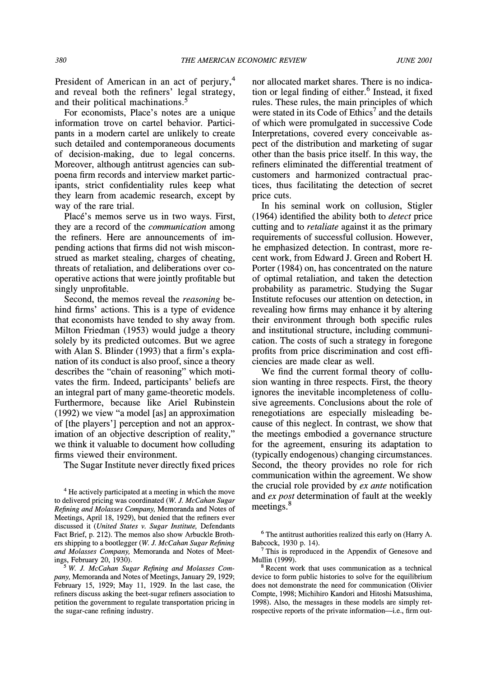**President of American in an act of perjury,4 and reveal both the refiners' legal strategy, and their political machinations.5** 

**For economists, Place's notes are a unique information trove on cartel behavior. Participants in a modem cartel are unlikely to create such detailed and contemporaneous documents of decision-making, due to legal concerns. Moreover, although antitrust agencies can subpoena firm records and interview market participants, strict confidentiality rules keep what they learn from academic research, except by way of the rare trial.** 

**Place's memos serve us in two ways. First, they are a record of the communication among the refiners. Here are announcements of impending actions that firms did not wish misconstrued as market stealing, charges of cheating, threats of retaliation, and deliberations over cooperative actions that were jointly profitable but singly unprofitable.** 

**Second, the memos reveal the reasoning behind firms' actions. This is a type of evidence that economists have tended to shy away from. Milton Friedman (1953) would judge a theory solely by its predicted outcomes. But we agree with Alan S. Blinder (1993) that a firm's explanation of its conduct is also proof, since a theory describes the "chain of reasoning" which motivates the firm. Indeed, participants' beliefs are an integral part of many game-theoretic models. Furthermore, because like Ariel Rubinstein (1992) we view "a model [as] an approximation of [the players'] perception and not an approximation of an objective description of reality," we think it valuable to document how colluding firms viewed their environment.** 

**The Sugar Institute never directly fixed prices** 

**nor allocated market shares. There is no indication or legal finding of either.6 Instead, it fixed rules. These rules, the main principles of which**  were stated in its Code of Ethics<sup>7</sup> and the details **of which were promulgated in successive Code Interpretations, covered every conceivable aspect of the distribution and marketing of sugar other than the basis price itself. In this way, the refiners eliminated the differential treatment of customers and harmonized contractual practices, thus facilitating the detection of secret price cuts.** 

**In his seminal work on collusion, Stigler (1964) identified the ability both to detect price cutting and to retaliate against it as the primary requirements of successful collusion. However, he emphasized detection. In contrast, more recent work, from Edward J. Green and Robert H. Porter (1984) on, has concentrated on the nature of optimal retaliation, and taken the detection probability as parametric. Studying the Sugar Institute refocuses our attention on detection, in revealing how firms may enhance it by altering their environment through both specific rules and institutional structure, including communication. The costs of such a strategy in foregone profits from price discrimination and cost efficiencies are made clear as well.** 

**We find the current formal theory of collusion wanting in three respects. First, the theory ignores the inevitable incompleteness of collusive agreements. Conclusions about the role of renegotiations are especially misleading because of this neglect. In contrast, we show that the meetings embodied a governance structure for the agreement, ensuring its adaptation to (typically endogenous) changing circumstances. Second, the theory provides no role for rich communication within the agreement. We show the crucial role provided by ex ante notification and ex post determination of fault at the weekly meetings.8** 

**<sup>8</sup>Recent work that uses communication as a technical device to form public histories to solve for the equilibrium does not demonstrate the need for communication (Olivier Compte, 1998; Michihiro Kandori and Hitoshi Matsushima, 1998). Also, the messages in these models are simply retrospective reports of the private information-i.e., firm out-** 

**<sup>4</sup>He actively participated at a meeting in which the move to delivered pricing was coordinated (W. J. McCahan Sugar Refining and Molasses Company, Memoranda and Notes of Meetings, April 18, 1929), but denied that the refiners ever discussed it (United States v. Sugar Institute, Defendants Fact Brief, p. 212). The memos also show Arbuckle Brothers shipping to a bootlegger (W. J. McCahan Sugar Refining and Molasses Company, Memoranda and Notes of Meetings, February 20, 1930).** 

<sup>&</sup>lt;sup>5</sup> W. J. McCahan Sugar Refining and Molasses Com**pany, Memoranda and Notes of Meetings, January 29, 1929; February 15, 1929; May 11, 1929. In the last case, the refiners discuss asking the beet-sugar refiners association to petition the government to regulate transportation pricing in the sugar-cane refining industry.** 

**<sup>6</sup>The antitrust authorities realized this early on (Harry A. Babcock, 1930 p. 14).** 

**<sup>7</sup>This is reproduced in the Appendix of Genesove and Mullin (1999).**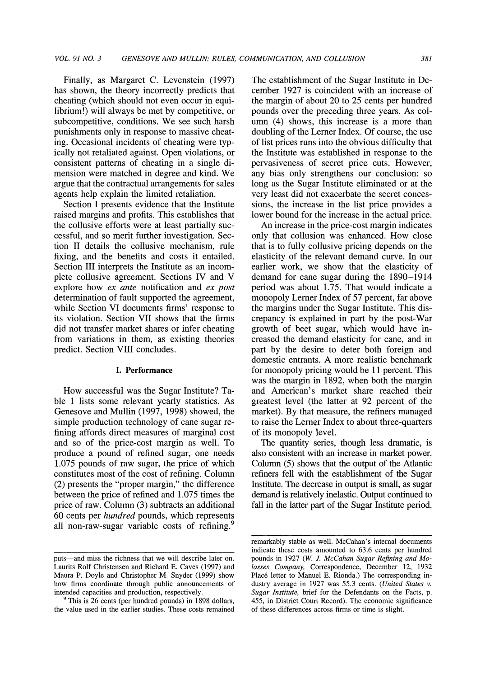**Finally, as Margaret C. Levenstein (1997) has shown, the theory incorrectly predicts that cheating (which should not even occur in equilibrium!) will always be met by competitive, or subcompetitive, conditions. We see such harsh punishments only in response to massive cheating. Occasional incidents of cheating were typically not retaliated against. Open violations, or consistent patterns of cheating in a single dimension were matched in degree and kind. We argue that the contractual arrangements for sales agents help explain the limited retaliation.** 

**Section I presents evidence that the Institute raised margins and profits. This establishes that the collusive efforts were at least partially successful, and so merit further investigation. Section II details the collusive mechanism, rule fixing, and the benefits and costs it entailed. Section III interprets the Institute as an incomplete collusive agreement. Sections IV and V explore how ex ante notification and ex post determination of fault supported the agreement, while Section VI documents firms' response to its violation. Section VII shows that the firms did not transfer market shares or infer cheating from variations in them, as existing theories predict. Section VIII concludes.** 

#### **I. Performance**

**How successful was the Sugar Institute? Table 1 lists some relevant yearly statistics. As Genesove and Mullin (1997, 1998) showed, the simple production technology of cane sugar refining affords direct measures of marginal cost and so of the price-cost margin as well. To produce a pound of refined sugar, one needs 1.075 pounds of raw sugar, the price of which constitutes most of the cost of refining. Column (2) presents the "proper margin," the difference between the price of refined and 1.075 times the price of raw. Column (3) subtracts an additional 60 cents per hundred pounds, which represents all non-raw-sugar variable costs of refining.9** 

**The establishment of the Sugar Institute in December 1927 is coincident with an increase of the margin of about 20 to 25 cents per hundred pounds over the preceding three years. As column (4) shows, this increase is a more than doubling of the Lerner Index. Of course, the use of list prices runs into the obvious difficulty that the Institute was established in response to the pervasiveness of secret price cuts. However, any bias only strengthens our conclusion: so long as the Sugar Institute eliminated or at the very least did not exacerbate the secret concessions, the increase in the list price provides a lower bound for the increase in the actual price.** 

**An increase in the price-cost margin indicates only that collusion was enhanced. How close that is to fully collusive pricing depends on the elasticity of the relevant demand curve. In our earlier work, we show that the elasticity of demand for cane sugar during the 1890-1914 period was about 1.75. That would indicate a monopoly Lerner Index of 57 percent, far above the margins under the Sugar Institute. This discrepancy is explained in part by the post-War growth of beet sugar, which would have increased the demand elasticity for cane, and in part by the desire to deter both foreign and domestic entrants. A more realistic benchmark for monopoly pricing would be 11 percent. This was the margin in 1892, when both the margin and American's market share reached their greatest level (the latter at 92 percent of the market). By that measure, the refiners managed to raise the Lerner Index to about three-quarters of its monopoly level.** 

**The quantity series, though less dramatic, is also consistent with an increase in market power. Column (5) shows that the output of the Atlantic refiners fell with the establishment of the Sugar Institute. The decrease in output is small, as sugar demand is relatively inelastic. Output continued to fall in the latter part of the Sugar Institute period.** 

**puts-and miss the richness that we will describe later on. Laurits Rolf Christensen and Richard E. Caves (1997) and Maura P. Doyle and Christopher M. Snyder (1999) show how firms coordinate through public announcements of intended capacities and production, respectively.** 

**<sup>9</sup> This is 26 cents (per hundred pounds) in 1898 dollars, the value used in the earlier studies. These costs remained** 

**remarkably stable as well. McCahan's internal documents indicate these costs amounted to 63.6 cents per hundred pounds in 1927 (W. J. McCahan Sugar Refining and Molasses Company, Correspondence, December 12, 1932**  Placé letter to Manuel E. Rionda.) The corresponding in**dustry average in 1927 was 55.3 cents. (United States v. Sugar Institute, brief for the Defendants on the Facts, p. 455, in District Court Record). The economic significance of these differences across firms or time is slight.**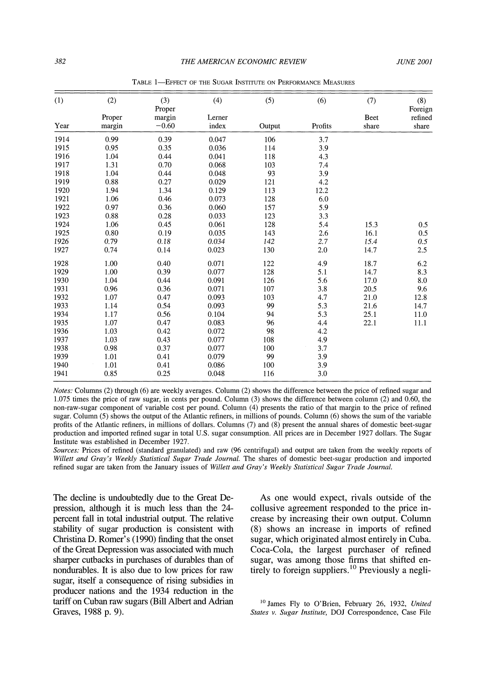| (1)<br>Year | (2)<br>Proper<br>margin | (3)<br>Proper<br>margin<br>$-0.60$ | (4)<br>Lerner<br>index | (5)<br>Output | (6)<br>Profits | (7)<br>Beet<br>share | (8)<br>Foreign<br>refined<br>share |      |      |      |       |     |     |  |  |
|-------------|-------------------------|------------------------------------|------------------------|---------------|----------------|----------------------|------------------------------------|------|------|------|-------|-----|-----|--|--|
|             |                         |                                    |                        |               |                |                      |                                    | 1914 | 0.99 | 0.39 | 0.047 | 106 | 3.7 |  |  |
|             |                         |                                    |                        |               |                |                      |                                    | 1915 | 0.95 | 0.35 | 0.036 | 114 | 3.9 |  |  |
| 1916        | 1.04                    | 0.44                               | 0.041                  | 118           | 4.3            |                      |                                    |      |      |      |       |     |     |  |  |
| 1917        | 1.31                    | 0.70                               | 0.068                  | 103           |                |                      |                                    |      |      |      |       |     |     |  |  |
| 1918        | 1.04                    | 0.44                               | 0.048                  | 93            | 7.4<br>3.9     |                      |                                    |      |      |      |       |     |     |  |  |
| 1919        | 0.88                    | 0.27                               | 0.029                  | 121           |                |                      |                                    |      |      |      |       |     |     |  |  |
|             |                         |                                    |                        |               | 4.2            |                      |                                    |      |      |      |       |     |     |  |  |
| 1920        | 1.94                    | 1.34                               | 0.129                  | 113           | 12.2           |                      |                                    |      |      |      |       |     |     |  |  |
| 1921        | 1.06                    | 0.46                               | 0.073                  | 128           | 6.0            |                      |                                    |      |      |      |       |     |     |  |  |
| 1922        | 0.97                    | 0.36                               | 0.060                  | 157           | 5.9            |                      |                                    |      |      |      |       |     |     |  |  |
| 1923        | 0.88                    | 0.28                               | 0.033                  | 123           | 3.3            |                      |                                    |      |      |      |       |     |     |  |  |
| 1924        | 1.06                    | 0.45                               | 0.061                  | 128           | 5.4            | 15.3                 | 0.5                                |      |      |      |       |     |     |  |  |
| 1925        | 0.80                    | 0.19                               | 0.035                  | 143           | 2.6            | 16.1                 | 0.5                                |      |      |      |       |     |     |  |  |
| 1926        | 0.79                    | 0.18                               | 0.034                  | 142           | 2.7            | 15.4                 | 0.5                                |      |      |      |       |     |     |  |  |
| 1927        | 0.74                    | 0.14                               | 0.023                  | 130           | 2.0            | 14.7                 | 2.5                                |      |      |      |       |     |     |  |  |
| 1928        | 1.00                    | 0.40                               | 0.071                  | 122           | 4.9            | 18.7                 | 6.2                                |      |      |      |       |     |     |  |  |
| 1929        | 1.00                    | 0.39                               | 0.077                  | 128           | 5.1            | 14.7                 | 8.3                                |      |      |      |       |     |     |  |  |
| 1930        | 1.04                    | 0.44                               | 0.091                  | 126           | 5.6            | 17.0                 | 8.0                                |      |      |      |       |     |     |  |  |
| 1931        | 0.96                    | 0.36                               | 0.071                  | 107           | 3.8            | 20.5                 | 9.6                                |      |      |      |       |     |     |  |  |
| 1932        | 1.07                    | 0.47                               | 0.093                  | 103           | 4.7            | 21.0                 | 12.8                               |      |      |      |       |     |     |  |  |
| 1933        | 1.14                    | 0.54                               | 0.093                  | 99            | 5.3            | 21.6                 | 14.7                               |      |      |      |       |     |     |  |  |
| 1934        | 1.17                    | 0.56                               | 0.104                  | 94            | 5.3            | 25.1                 | 11.0                               |      |      |      |       |     |     |  |  |
| 1935        | 1.07                    | 0.47                               | 0.083                  | 96            | 4.4            | 22.1                 | 11.1                               |      |      |      |       |     |     |  |  |
| 1936        | 1.03                    | 0.42                               | 0.072                  | 98            | 4.2            |                      |                                    |      |      |      |       |     |     |  |  |
| 1937        | 1.03                    | 0.43                               | 0.077                  | 108           | 4.9            |                      |                                    |      |      |      |       |     |     |  |  |
| 1938        | 0.98                    | 0.37                               | 0.077                  | 100           | 3.7            |                      |                                    |      |      |      |       |     |     |  |  |
| 1939        | 1.01                    | 0.41                               | 0.079                  | 99            | 3.9            |                      |                                    |      |      |      |       |     |     |  |  |
| 1940        | 1.01                    | 0.41                               | 0.086                  | 100           | 3.9            |                      |                                    |      |      |      |       |     |     |  |  |
| 1941        | 0.85                    | 0.25                               | 0.048                  | 116           | 3.0            |                      |                                    |      |      |      |       |     |     |  |  |

TABLE 1-EFFECT OF THE SUGAR INSTITUTE ON PERFORMANCE MEASURES

**Notes: Columns (2) through (6) are weekly averages. Column (2) shows the difference between the price of refined sugar and 1.075 times the price of raw sugar, in cents per pound. Column (3) shows the difference between column (2) and 0.60, the non-raw-sugar component of variable cost per pound. Colunm (4) presents the ratio of that margin to the price of refined sugar. Column (5) shows the output of the Atlantic refiners, in millions of pounds. Column (6) shows the sum of the variable profits of the Atlantic refiners, in millions of dollars. Columns (7) and (8) present the annual shares of domestic beet-sugar production and imported refined sugar in total U.S. sugar consumption. All prices are in December 1927 dollars. The Sugar Institute was established in December 1927.** 

**Sources: Prices of refined (standard granulated) and raw (96 centrifugal) and output are taken from the weekly reports of**  Willett and Gray's Weekly Statistical Sugar Trade Journal. The shares of domestic beet-sugar production and imported **refined sugar are taken from the January issues of Willett and Gray's Weekly Statistical Sugar Trade Journal.** 

**The decline is undoubtedly due to the Great Depression, although it is much less than the 24**  percent fall in total industrial output. The relative **stability of sugar production is consistent with Christina D. Romer's (1990) finding that the onset of the Great Depression was associated with much sharper cutbacks in purchases of durables than of nondurables. It is also due to low prices for raw sugar, itself a consequence of rising subsidies in producer nations and the 1934 reduction in the tariff on Cuban raw sugars (Bill Albert and Adrian Graves, 1988 p. 9).** 

**As one would expect, rivals outside of the collusive agreement responded to the price increase by increasing their own output. Column (8) shows an increase in imports of refined sugar, which originated almost entirely in Cuba. Coca-Cola, the largest purchaser of refined sugar, was among those firms that shifted entirely to foreign suppliers.'0 Previously a negli-**

**10 James Fly to O'Brien, February 26, 1932, United States v. Sugar Institute, DOJ Correspondence, Case File**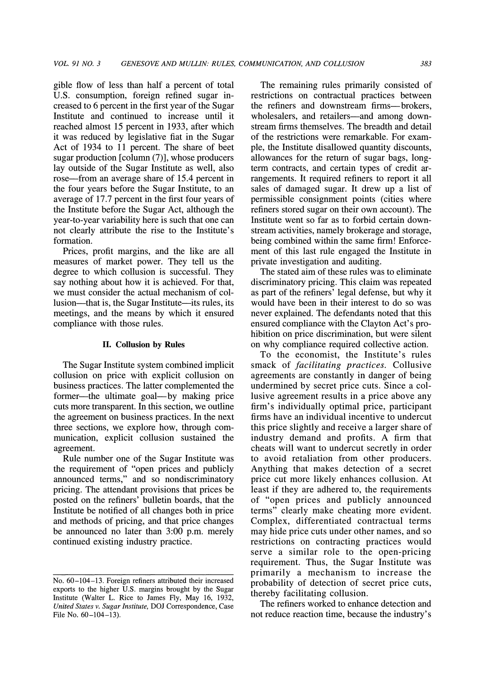**gible flow of less than half a percent of total U.S. consumption, foreign refined sugar increased to 6 percent in the first year of the Sugar Institute and continued to increase until it reached almost 15 percent in 1933, after which it was reduced by legislative fiat in the Sugar Act of 1934 to 11 percent. The share of beet sugar production [column (7)], whose producers lay outside of the Sugar Institute as well, also rose-from an average share of 15.4 percent in the four years before the Sugar Institute, to an average of 17.7 percent in the first four years of the Institute before the Sugar Act, although the year-to-year variability here is such that one can not clearly attribute the rise to the Institute's formation.** 

**Prices, profit margins, and the like are all measures of market power. They tell us the degree to which collusion is successful. They say nothing about how it is achieved. For that, we must consider the actual mechanism of col**lusion—that is, the Sugar Institute—its rules, its **meetings, and the means by which it ensured compliance with those rules.** 

#### **II. Collusion by Rules**

**The Sugar Institute system combined implicit collusion on price with explicit collusion on business practices. The latter complemented the**  former—the ultimate goal—by making price **cuts more transparent. In this section, we outline the agreement on business practices. In the next three sections, we explore how, through communication, explicit collusion sustained the agreement.** 

**Rule number one of the Sugar Institute was the requirement of "open prices and publicly announced terms," and so nondiscriminatory pricing. The attendant provisions that prices be posted on the refiners' bulletin boards, that the Institute be notified of all changes both in price and methods of pricing, and that price changes be announced no later than 3:00 p.m. merely continued existing industry practice.** 

**The remaining rules primarily consisted of restrictions on contractual practices between the refiners and downstream firms-brokers,**  wholesalers, and retailers—and among down**stream firms themselves. The breadth and detail of the restrictions were remarkable. For example, the Institute disallowed quantity discounts, allowances for the return of sugar bags, longterm contracts, and certain types of credit arrangements. It required refiners to report it all sales of damaged sugar. It drew up a list of permissible consignment points (cities where refiners stored sugar on their own account). The Institute went so far as to forbid certain downstream activities, namely brokerage and storage, being combined within the same firm! Enforcement of this last rule engaged the Institute in private investigation and auditing.** 

**The stated aim of these rules was to eliminate discriminatory pricing. This claim was repeated as part of the refiners' legal defense, but why it would have been in their interest to do so was never explained. The defendants noted that this ensured compliance with the Clayton Act's prohibition on price discrimination, but were silent on why compliance required collective action.** 

**To the economist, the Institute's rules smack of facilitating practices. Collusive agreements are constantly in danger of being undermined by secret price cuts. Since a collusive agreement results in a price above any firm's individually optimal price, participant firms have an individual incentive to undercut this price slightly and receive a larger share of industry demand and profits. A firm that cheats will want to undercut secretly in order to avoid retaliation from other producers. Anything that makes detection of a secret price cut more likely enhances collusion. At least if they are adhered to, the requirements of "open prices and publicly announced terms" clearly make cheating more evident. Complex, differentiated contractual terms may hide price cuts under other names, and so restrictions on contracting practices would serve a similar role to the open-pricing requirement. Thus, the Sugar Institute was primarily a mechanism to increase the probability of detection of secret price cuts, thereby facilitating collusion.** 

**The refiners worked to enhance detection and not reduce reaction time, because the industry's** 

**No. 60-104-13. Foreign refiners attributed their increased exports to the higher U.S. margins brought by the Sugar Institute (Walter L. Rice to James Fly, May 16, 1932, United States v. Sugar Institute, DOJ Correspondence, Case**  File No.  $60-104-13$ ).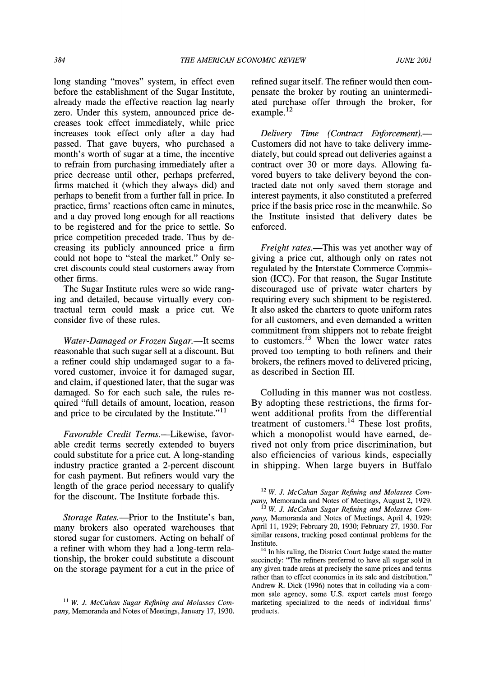**long standing "moves" system, in effect even before the establishment of the Sugar Institute, already made the effective reaction lag nearly zero. Under this system, announced price decreases took effect immediately, while price increases took effect only after a day had passed. That gave buyers, who purchased a month's worth of sugar at a time, the incentive to refrain from purchasing immediately after a price decrease until other, perhaps preferred, firms matched it (which they always did) and perhaps to benefit from a further fall in price. In practice, firms' reactions often came in minutes, and a day proved long enough for all reactions to be registered and for the price to settle. So price competition preceded trade. Thus by decreasing its publicly announced price a firm could not hope to "steal the market." Only secret discounts could steal customers away from other firms.** 

**The Sugar Institute rules were so wide ranging and detailed, because virtually every contractual term could mask a price cut. We consider five of these rules.** 

Water-Damaged or Frozen Sugar.-It seems **reasonable that such sugar sell at a discount. But a refiner could ship undamaged sugar to a favored customer, invoice it for damaged sugar, and claim, if questioned later, that the sugar was damaged. So for each such sale, the rules required "full details of amount, location, reason and price to be circulated by the Institute."11** 

**Favorable Credit Terms.-Likewise, favor**able credit terms secretly extended to buyers **could substitute for a price cut. A long-standing industry practice granted a 2-percent discount for cash payment. But refiners would vary the length of the grace period necessary to qualify for the discount. The Institute forbade this.** 

Storage Rates.—Prior to the Institute's ban, **many brokers also operated warehouses that stored sugar for customers. Acting on behalf of a refiner with whom they had a long-term relationship, the broker could substitute a discount on the storage payment for a cut in the price of**  **refined sugar itself. The refiner would then compensate the broker by routing an unintermediated purchase offer through the broker, for example. <sup>12</sup>**

**Delivery Time (Contract Enforcement).— Customers did not have to take delivery immediately, but could spread out deliveries against a contract over 30 or more days. Allowing favored buyers to take delivery beyond the contracted date not only saved them storage and interest payments, it also constituted a preferred price if the basis price rose in the meanwhile. So the Institute insisted that delivery dates be enforced.** 

Freight rates.—This was yet another way of **giving a price cut, although only on rates not regulated by the Interstate Commerce Commission (ICC). For that reason, the Sugar Institute discouraged use of private water charters by requiring every such shipment to be registered. It also asked the charters to quote uniform rates for all customers, and even demanded a written commitment from shippers not to rebate freight to customers.13 When the lower water rates proved too tempting to both refiners and their brokers, the refiners moved to delivered pricing, as described in Section III.** 

**Colluding in this manner was not costless. By adopting these restrictions, the firms forwent additional profits from the differential treatment of customers.14 These lost profits, which a monopolist would have earned, derived not only from price discrimination, but also efficiencies of various kinds, especially in shipping. When large buyers in Buffalo** 

**<sup>12</sup>W. J. McCahan Sugar Refining and Molasses Company, Memoranda and Notes of Meetings, August 2, 1929.** 

**<sup>14</sup>In his ruling, the District Court Judge stated the matter succinctly: "The refiners preferred to have all sugar sold in any given trade areas at precisely the same prices and terms rather than to effect economies in its sale and distribution." Andrew R. Dick (1996) notes that in colluding via a common sale agency, some U.S. export cartels must forego marketing specialized to the needs of individual firms' products.** 

<sup>&</sup>lt;sup>11</sup> W. J. McCahan Sugar Refining and Molasses Com**pany, Memoranda and Notes of Meetings, January 17, 1930.** 

**<sup>13</sup> W. J. McCahan Sugar Refining and Molasses Company, Memoranda and Notes of Meetings, April 4, 1929; April 11, 1929; February 20, 1930; February 27, 1930. For similar reasons, trucking posed continual problems for the Institute.**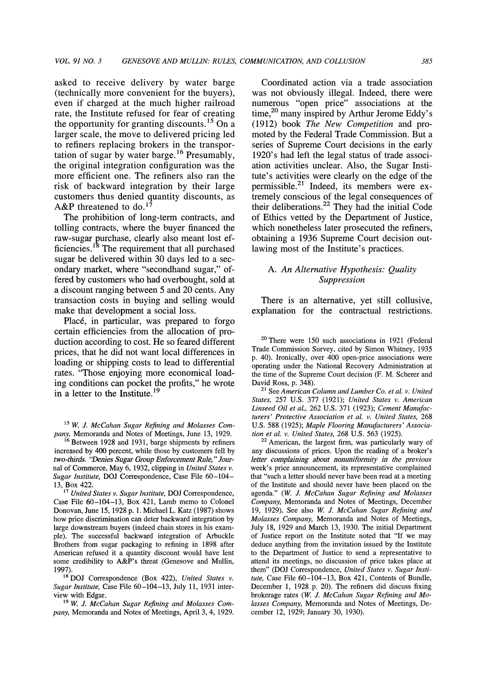**asked to receive delivery by water barge (technically more convenient for the buyers), even if charged at the much higher railroad rate, the Institute refused for fear of creating the opportunity for granting discounts.15 On a larger scale, the move to delivered pricing led to refiners replacing brokers in the transportation of sugar by water barge.'6 Presumably, the original integration configuration was the more efficient one. The refiners also ran the risk of backward integration by their large customers thus denied quantity discounts, as A&P threatened to do.'7** 

**The prohibition of long-term contracts, and tolling contracts, where the buyer financed the raw-sugar purchase, clearly also meant lost ef**ficiencies.<sup>18</sup> The requirement that all purchased **sugar be delivered within 30 days led to a secondary market, where "secondhand sugar," offered by customers who had overbought, sold at a discount ranging between 5 and 20 cents. Any transaction costs in buying and selling would make that development a social loss.** 

**Place, in particular, was prepared to forgo certain efficiencies from the allocation of production according to cost. He so feared different prices, that he did not want local differences in loading or shipping costs to lead to differential rates. "Those enjoying more economical loading conditions can pocket the profits," he wrote in a letter to the Institute.19** 

**15 W. J. McCahan Sugar Refining and Molasses Company, Memoranda and Notes of Meetings, June 13, 1929.** 

**<sup>16</sup>Between 1928 and 1931, barge shipments by refiners increased by 400 percent, while those by customers fell by two-thirds. "Denies Sugar Group Enforcement Rule, " Journal of Commerce, May 6, 1932, clipping in United States v. Sugar Institute, DOJ Correspondence, Case File 60-104- 13, Box 422.** 

**<sup>17</sup>United States v. Sugar Institute, DOJ Correspondence, Case File 60-104-13, Box 421, Lamb memo to Colonel Donovan, June 15, 1928 p. 1. Michael L. Katz (1987) shows how price discrimination can deter backward integration by large downstream buyers (indeed chain stores in his example). The successful backward integration of Arbuckle Brothers from sugar packaging to refining in 1898 after American refused it a quantity discount would have lent some credibility to A&P's threat (Genesove and Mullin, 1997).** 

**18 DOJ Correspondence (Box 422), United States v. Sugar Institute, Case File 60-104-13, July 11, 1931 interview with Edgar.** 

**19 W. J. McCahan Sugar Refining and Molasses Company, Memoranda and Notes of Meetings, April 3, 4, 1929.** 

**Coordinated action via a trade association was not obviously illegal. Indeed, there were numerous "open price" associations at the**  time,<sup>20</sup> many inspired by Arthur Jerome Eddy's **(1912) book The New Competition and promoted by the Federal Trade Commission. But a series of Supreme Court decisions in the early 1920's had left the legal status of trade association activities unclear. Also, the Sugar Institute's activities were clearly on the edge of the permissible.2' Indeed, its members were extremely conscious of the legal consequences of their deliberations.22 They had the initial Code of Ethics vetted by the Department of Justice, which nonetheless later prosecuted the refiners, obtaining a 1936 Supreme Court decision outlawing most of the Institute's practices.** 

# **A. An Alternative Hypothesis: Quality Suppression**

**There is an alternative, yet still collusive,**  explanation for the contractual restrictions.

**<sup>21</sup>See American Column and Lumber Co. et al. v. United States, 257 U.S. 377 (1921); United States v. American Linseed Oil et al., 262 U.S. 371 (1923); Cement Manufacturers' Protective Association et al. v. United States, 268 U.S. 588 (1925); Maple Flooring Manufacturers' Association et al. v. United States, 268 U.S. 563 (1925).** 

**<sup>22</sup>American, the largest firm, was particularly wary of any discussions of prices. Upon the reading of a broker's letter complaining about nonuniformity in the previous week's price announcement, its representative complained that "such a letter should never have been read at a meeting of the Institute and should never have been placed on the agenda." (W. J. McCahan Sugar Refining and Molasses Company, Memoranda and Notes of Meetings, December 19, 1929). See also W. J. McCahan Sugar Refining and Molasses Company, Memoranda and Notes of Meetings, July 18, 1929 and March 13, 1930. The initial Department of Justice report on the Institute noted that "If we may deduce anything from the invitation issued by the Institute to the Department of Justice to send a representative to attend its meetings, no discussion of price takes place at them" (DOJ Correspondence, United States v. Sugar Institute, Case File 60-104-13, Box 421, Contents of Bundle, December 1, 1928 p. 20). The refiners did discuss fixing brokerage rates (W. J. McCahan Sugar Refining and Molasses Company, Memoranda and Notes of Meetings, December 12, 1929; January 30, 1930).** 

**<sup>20</sup>There were 150 such associations in 1921 (Federal Trade Commission Survey, cited by Simon Whitney, 1935 p. 40). Ironically, over 400 open-price associations were operating under the National Recovery Administration at the time of the Supreme Court decision (F. M. Scherer and David Ross, p. 348).**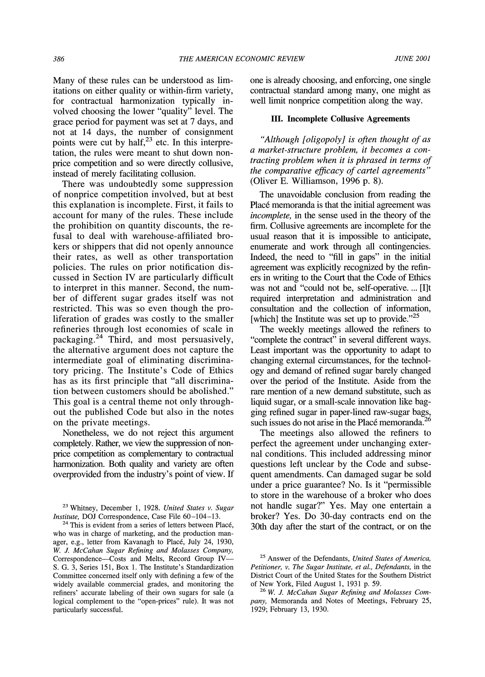**Many of these rules can be understood as limitations on either quality or within-firm variety, for contractual harmonization typically involved choosing the lower "quality" level. The grace period for payment was set at 7 days, and not at 14 days, the number of consignment**  points were cut by half,<sup>23</sup> etc. In this interpre**tation, the rules were meant to shut down nonprice competition and so were directly collusive, instead of merely facilitating collusion.** 

**There was undoubtedly some suppression of nonprice competition involved, but at best this explanation is incomplete. First, it fails to account for many of the rules. These include the prohibition on quantity discounts, the refusal to deal with warehouse-affiliated brokers or shippers that did not openly announce their rates, as well as other transportation policies. The rules on prior notification discussed in Section IV are particularly difficult to interpret in this manner. Second, the number of different sugar grades itself was not restricted. This was so even though the proliferation of grades was costly to the smaller refineries through lost economies of scale in packaging.24 Third, and most persuasively, the alternative argument does not capture the intermediate goal of eliminating discriminatory pricing. The Institute's Code of Ethics has as its first principle that "all discrimination between customers should be abolished." This goal is a central theme not only throughout the published Code but also in the notes on the private meetings.** 

**Nonetheless, we do not reject this argument completely. Rather, we view the suppression of nonprice competition as complementary to contractual harmonization. Both quality and variety are often overprovided from the industry's point of view. If** 

**<sup>23</sup>Whitney, December 1, 1928. United States v. Sugar Institute, DOJ Correspondence, Case File 60-104-13.** 

**one is already choosing, and enforcing, one single contractual standard among many, one might as well limit nonprice competition along the way.** 

#### **III. Incomplete Collusive Agreements**

**"Although [oligopoly] is often thought of as a market-structure problem, it becomes a contracting problem when it is phrased in terms of the comparative efficacy of cartel agreements" (Oliver E. Williamson, 1996 p. 8).** 

**The unavoidable conclusion from reading the Place memoranda is that the initial agreement was incomplete, in the sense used in the theory of the firm. Collusive agreements are incomplete for the usual reason that it is impossible to anticipate, enumerate and work through all contingencies. Indeed, the need to "fill in gaps" in the initial agreement was explicitly recognized by the refiners in writing to the Court that the Code of Ethics was not and "could not be, self-operative.... [I]t required interpretation and administration and consultation and the collection of information, [which] the Institute was set up to provide."25** 

**The weekly meetings allowed the refiners to "complete the contract" in several different ways. Least important was the opportunity to adapt to changing external circumstances, for the technology and demand of refined sugar barely changed over the period of the Institute. Aside from the rare mention of a new demand substitute, such as liquid sugar, or a small-scale innovation like bagging refined sugar in paper-lined raw-sugar bags, such issues do not arise in the Place memoranda.26** 

**The meetings also allowed the refiners to perfect the agreement under unchanging external conditions. This included addressing minor questions left unclear by the Code and subsequent amendments. Can damaged sugar be sold under a price guarantee? No. Is it "permissible to store in the warehouse of a broker who does not handle sugar?" Yes. May one entertain a broker? Yes. Do 30-day contracts end on the 30th day after the start of the contract, or on the** 

**<sup>24</sup>This is evident from a series of letters between Plac6, who was in charge of marketing, and the production manager, e.g., letter from Kavanagh to Plac6, July 24, 1930, W. J. McCahan Sugar Refining and Molasses Company,**  Correspondence-Costs and Melts, Record Group IV-**S. G. 3, Series 151, Box 1. The Institute's Standardization Committee concerned itself only with defining a few of the widely available commercial grades, and monitoring the refiners' accurate labeling of their own sugars for sale (a logical complement to the "open-prices" rule). It was not particularly successful.** 

**<sup>25</sup>Answer of the Defendants, United States of America, Petitioner, v. The Sugar Institute, et al., Defendants, in the District Court of the United States for the Southern District of New York, Filed August 1, 1931 p. 59.** 

**<sup>26</sup> W. J. McCahan Sugar Refining and Molasses Company, Memoranda and Notes of Meetings, February 25, 1929; February 13, 1930.**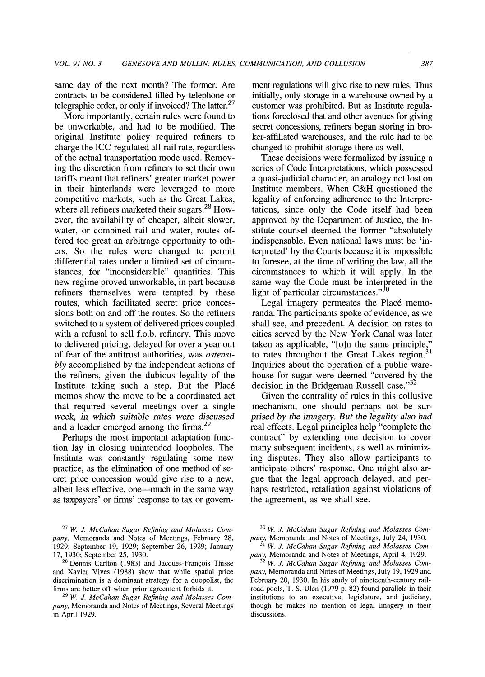**same day of the next month? The former. Are contracts to be considered filled by telephone or telegraphic order, or only if invoiced? The latter.27** 

**More importantly, certain rules were found to be unworkable, and had to be modified. The original Institute policy required refiners to charge the ICC-regulated all-rail rate, regardless of the actual transportation mode used. Removing the discretion from refiners to set their own tariffs meant that refiners' greater market power in their hinterlands were leveraged to more competitive markets, such as the Great Lakes, where all refiners marketed their sugars.28 However, the availability of cheaper, albeit slower, water, or combined rail and water, routes offered too great an arbitrage opportunity to others. So the rules were changed to permit differential rates under a limited set of circumstances, for "inconsiderable" quantities. This new regime proved unworkable, in part because refiners themselves were tempted by these routes, which facilitated secret price concessions both on and off the routes. So the refiners switched to a system of delivered prices coupled with a refusal to sell f.o.b. refinery. This move to delivered pricing, delayed for over a year out of fear of the antitrust authorities, was ostensibly accomplished by the independent actions of the refiners, given the dubious legality of the Institute taking such a step. But the Place memos show the move to be a coordinated act that required several meetings over a single week, in which suitable rates were discussed and a leader emerged among the firms.29** 

**Perhaps the most important adaptation function lay in closing unintended loopholes. The Institute was constantly regulating some new practice, as the elimination of one method of secret price concession would give rise to a new, albeit less effective, one-much in the same way as taxpayers' or firms' response to tax or govern-**

**<sup>27</sup>W. J. McCahan Sugar Refining and Molasses Company, Memoranda and Notes of Meetings, February 28, 1929; September 19, 1929; September 26, 1929; January 17, 1930; September 25, 1930.** 

<sup>28</sup> Dennis Carlton (1983) and Jacques-François Thisse **and Xavier Vives (1988) show that while spatial price discrimination is a dominant strategy for a duopolist, the firms are better off when prior agreement forbids it.** 

<sup>29</sup> W. J. McCahan Sugar Refining and Molasses Com**pany, Memoranda and Notes of Meetings, Several Meetings in April 1929.** 

**ment regulations will give rise to new rules. Thus initially, only storage in a warehouse owned by a customer was prohibited. But as Institute regulations foreclosed that and other avenues for giving secret concessions, refiners began storing in broker-affiliated warehouses, and the rule had to be changed to prohibit storage there as well.** 

**These decisions were formalized by issuing a series of Code Interpretations, which possessed a quasi-judicial character, an analogy not lost on Institute members. When C&H questioned the legality of enforcing adherence to the Interpretations, since only the Code itself had been approved by the Department of Justice, the Institute counsel deemed the former "absolutely indispensable. Even national laws must be 'interpreted' by the Courts because it is impossible to foresee, at the time of writing the law, all the circumstances to which it will apply. In the same way the Code must be interpreted in the**  light of particular circumstances."<sup>30</sup>

Legal imagery permeates the Placé memo**randa. The participants spoke of evidence, as we shall see, and precedent. A decision on rates to cities served by the New York Canal was later taken as applicable, "[o]n the same principle," to rates throughout the Great Lakes region.31 Inquiries about the operation of a public warehouse for sugar were deemed "covered by the decision in the Bridgeman Russell case."32** 

**Given the centrality of rules in this collusive mechanism, one should perhaps not be surprised by the imagery. But the legality also had real effects. Legal principles help "complete the contract" by extending one decision to cover many subsequent incidents, as well as minimizing disputes. They also allow participants to anticipate others' response. One might also argue that the legal approach delayed, and perhaps restricted, retaliation against violations of the agreement, as we shall see.** 

**30 W. J. McCahan Sugar Refining and Molasses Company, Memoranda and Notes of Meetings, July 24, 1930.** 

**31 W. J. McCahan Sugar Refining and Molasses Company, Memoranda and Notes of Meetings, April 4, 1929.** 

**32 W. J. McCahan Sugar Refining and Molasses Company, Memoranda and Notes of Meetings, July 19, 1929 and February 20, 1930. In his study of nineteenth-century railroad pools, T. S. Ulen (1979 p. 82) found parallels in their institutions to an executive, legislature, and judiciary, though he makes no mention of legal imagery in their discussions.**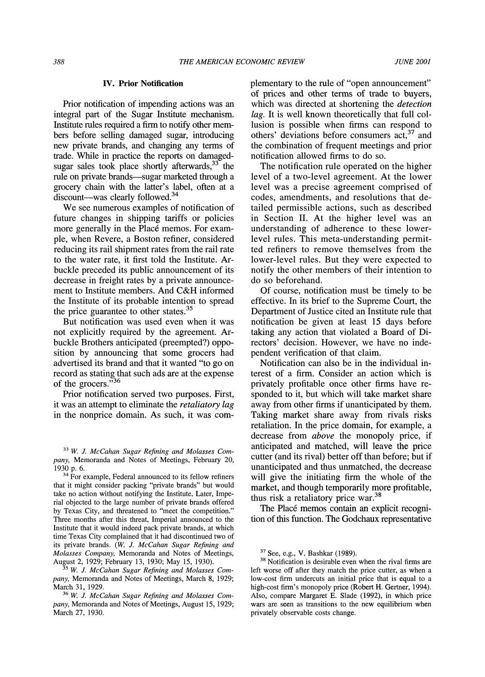#### **IV. Prior Notification**

**Prior notification of impending actions was an integral part of the Sugar Institute mechanism. Institute rules required a firm to notify other members before selling damaged sugar, introducing new private brands, and changing any terms of trade. While in practice the reports on damagedsugar sales took place shortly afterwards,33 the**  rule on private brands-sugar marketed through a **grocery chain with the latter's label, often at a discount-was clearly followed.34** 

**We see numerous examples of notification of future changes in shipping tariffs or policies**  more generally in the Placé memos. For exam**ple, when Revere, a Boston refiner, considered reducing its rail shipment rates from the rail rate to the water rate, it first told the Institute. Arbuckle preceded its public announcement of its decrease in freight rates by a private announcement to Institute members. And C&H informed the Institute of its probable intention to spread the price guarantee to other states.35** 

**But notification was used even when it was not explicitly required by the agreement. Arbuckle Brothers anticipated (preempted?) opposition by announcing that some grocers had advertised its brand and that it wanted "to go on record as stating that such ads are at the expense of the grocers."36** 

**Prior notification served two purposes. First, it was an attempt to eliminate the retaliatory lag in the nonprice domain. As such, it was com-** **plementary to the rule of "open announcement" of prices and other terms of trade to buyers, which was directed at shortening the detection lag. It is well known theoretically that full collusion is possible when firms can respond to others' deviations before consumers act,37 and the combination of frequent meetings and prior notification allowed firms to do so.** 

**The notification rule operated on the higher level of a two-level agreement. At the lower level was a precise agreement comprised of codes, amendments, and resolutions that detailed permissible actions, such as described in Section II. At the higher level was an understanding of adherence to these lowerlevel rules. This meta-understanding permitted refiners to remove themselves from the lower-level rules. But they were expected to notify the other members of their intention to do so beforehand.** 

**Of course, notification must be timely to be effective. In its brief to the Supreme Court, the Department of Justice cited an Institute rule that notification be given at least 15 days before taking any action that violated a Board of Directors' decision. However, we have no independent verification of that claim.** 

**Notification can also be in the individual interest of a firm. Consider an action which is privately profitable once other firms have responded to it, but which will take market share away from other firms if unanticipated by them. Taking market share away from rivals risks retaliation. In the price domain, for example, a decrease from above the monopoly price, if anticipated and matched, will leave the price cutter (and its rival) better off than before; but if unanticipated and thus unmatched, the decrease will give the initiating firm the whole of the market, and though temporarily more profitable, thus risk a retaliatory price war.38** 

**The Place memos contain an explicit recognition of this function. The Godchaux representative** 

**<sup>33</sup> W. J. McCahan Sugar Refining and Molasses Company, Memoranda and Notes of Meetings, February 20, 1930 p. 6.** 

**<sup>34</sup> For example, Federal announced to its fellow refiners that it might consider packing "private brands" but would take no action without notifying the Institute. Later, Imperial objected to the large number of private brands offered by Texas City, and threatened to "meet the competition." Three months after this threat, Imperial announced to the Institute that it would indeed pack private brands, at which time Texas City complained that it had discontinued two of its private brands. (W. J. McCahan Sugar Refining and Molasses Company, Memoranda and Notes of Meetings, August 2, 1929; February 13, 1930; May 15, 1930).** 

**<sup>35</sup> W. J. McCahan Sugar Refining and Molasses Company, Memoranda and Notes of Meetings, March 8, 1929; March 31, 1929.** 

**<sup>36</sup> W. J. McCahan Sugar Refining and Molasses Company, Memoranda and Notes of Meetings, August 15, 1929; March 27, 1930.** 

**<sup>37</sup>See, e.g., V. Bashkar (1989).** 

**<sup>38</sup>Notification is desirable even when the rival firms are left worse off after they match the price cutter, as when a low-cost firm undercuts an initial price that is equal to a high-cost firm's monopoly price (Robert H. Gertner, 1994). Also, compare Margaret E. Slade (1992), in which price wars are seen as transitions to the new equilibrium when privately observable costs change.**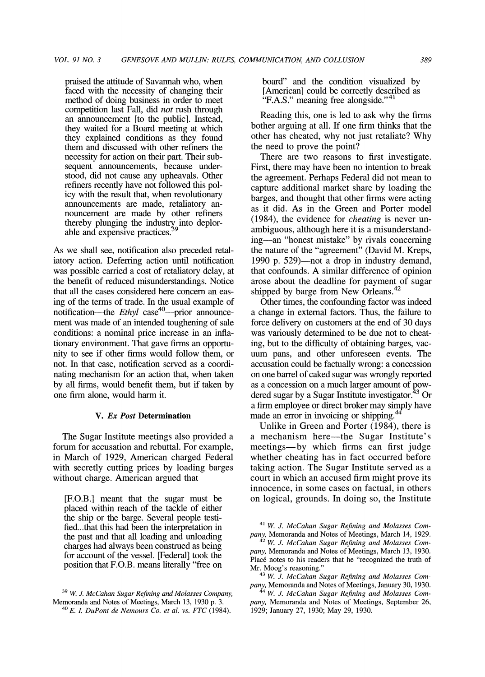**praised the attitude of Savannah who, when faced with the necessity of changing their method of doing business in order to meet competition last Fall, did not rush through an announcement [to the public]. Instead, they waited for a Board meeting at which they explained conditions as they found them and discussed with other refiners the necessity for action on their part. Their subsequent announcements, because understood, did not cause any upheavals. Other refiners recently have not followed this policy with the result that, when revolutionary announcements are made, retaliatory announcement are made by other refiners**  thereby plunging the industry into deplorable and expensive practices.

**As we shall see, notification also preceded retaliatory action. Deferring action until notification was possible carried a cost of retaliatory delay, at the benefit of reduced misunderstandings. Notice that all the cases considered here concern an easing of the terms of trade. In the usual example of notification—the Ethyl case<sup>40</sup>—prior announcement was made of an intended toughening of sale conditions: a nominal price increase in an inflationary environment. That gave firms an opportunity to see if other firms would follow them, or not. In that case, notification served as a coordinating mechanism for an action that, when taken by all firms, would benefit them, but if taken by one firm alone, would harm it.** 

#### **V. Ex Post Determination**

**The Sugar Institute meetings also provided a forum for accusation and rebuttal. For example, in March of 1929, American charged Federal with secretly cutting prices by loading barges without charge. American argued that** 

**[F.O.B.] meant that the sugar must be placed within reach of the tackle of either the ship or the barge. Several people testi**fied...that this had been the interpretation in **the past and that all loading and unloading charges had always been construed as being for account of the vessel. [Federal] took the position that F.O.B. means literally "free on**  **board" and the condition visualized by [American] could be correctly described as "F.A.S." meaning free alongside."41** 

**Reading this, one is led to ask why the firms bother arguing at all. If one firm thinks that the other has cheated, why not just retaliate? Why the need to prove the point?** 

**There are two reasons to first investigate. First, there may have been no intention to break the agreement. Perhaps Federal did not mean to capture additional market share by loading the barges, and thought that other firms were acting as it did. As in the Green and Porter model (1984), the evidence for cheating is never unambiguous, although here it is a misunderstanding-an "honest mistake" by rivals concerning the nature of the "agreement" (David M. Kreps,**  1990 p. 529)—not a drop in industry demand, **that confounds. A similar difference of opinion arose about the deadline for payment of sugar shipped by barge from New Orleans.42** 

**Other times, the confounding factor was indeed a change in external factors. Thus, the failure to force delivery on customers at the end of 30 days was variously determined to be due not to cheating, but to the difficulty of obtaining barges, vacuum pans, and other unforeseen events. The accusation could be factually wrong: a concession on one barrel of caked sugar was wrongly reported as a concession on a much larger amount of powdered sugar by a Sugar Institute investigator.43 Or a firm employee or direct broker may simply have made an error in invoicing or shipping.** 

**Unlike in Green and Porter (1984), there is a mechanism here-the Sugar Institute's meetings-by which firms can first judge whether cheating has in fact occurred before taking action. The Sugar Institute served as a court in which an accused firm might prove its innocence, in some cases on factual, in others on logical, grounds. In doing so, the Institute** 

**<sup>41</sup>W. J. McCahan Sugar Refining and Molasses Company, Memoranda and Notes of Meetings, March 14, 1929. <sup>42</sup>W. J. McCahan Sugar Refining and Molasses Com-**

**pany, Memoranda and Notes of Meetings, March 13, 1930.**  Placé notes to his readers that he "recognized the truth of **Mr. Moog's reasoning."** 

<sup>43</sup> W. J. McCahan Sugar Refining and Molasses Com**pany, Memoranda and Notes of Meetings, January 30, 1930.** 

**44 W. J. McCahan Sugar Refining and Molasses Company, Memoranda and Notes of Meetings, September 26, 1929; January 27, 1930; May 29, 1930.** 

**W. J. McCahan Sugar Refining and Molasses Company, Memoranda and Notes of Meetings, March 13, 1930 p. 3. <sup>40</sup>E. L DuPont de Nemours Co. et al. vs. FTC (1984).**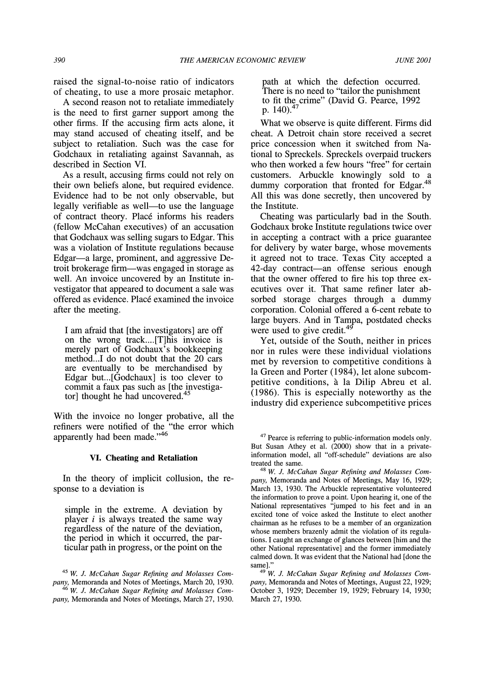**raised the signal-to-noise ratio of indicators of cheating, to use a more prosaic metaphor.** 

**A second reason not to retaliate immediately is the need to first gamer support among the other firms. If the accusing firm acts alone, it may stand accused of cheating itself, and be subject to retaliation. Such was the case for Godchaux in retaliating against Savannah, as described in Section VI.** 

**As a result, accusing firms could not rely on their own beliefs alone, but required evidence. Evidence had to be not only observable, but**  legally verifiable as well—to use the language **of contract theory. Place informs his readers (fellow McCahan executives) of an accusation that Godchaux was selling sugars to Edgar. This was a violation of Institute regulations because Edgar-a large, prominent, and aggressive Detroit brokerage firm-was engaged in storage as well. An invoice uncovered by an Institute investigator that appeared to document a sale was offered as evidence. Place examined the invoice after the meeting.** 

**I am afraid that [the investigators] are off on the wrong track.... [T]his invoice is merely part of Godchaux's bookkeeping method...1 do not doubt that the 20 cars are eventually to be merchandised by Edgar but...[Godchaux] is too clever to commit a faux pas such as [the investigator] thought he had uncovered.45** 

**With the invoice no longer probative, all the refiners were notified of the "the error which apparently had been made."46** 

#### **VI. Cheating and Retaliation**

**In the theory of implicit collusion, the response to a deviation is** 

**simple in the extreme. A deviation by player i is always treated the same way regardless of the nature of the deviation, the period in which it occurred, the particular path in progress, or the point on the**  **path at which the defection occurred. There is no need to "tailor the punishment to fit the crime" (David G. Pearce, 1992 p. 140).4** 

**What we observe is quite different. Firms did cheat. A Detroit chain store received a secret price concession when it switched from National to Spreckels. Spreckels overpaid truckers who then worked a few hours "free" for certain customers. Arbuckle knowingly sold to a dummy corporation that fronted for Edgar.48 All this was done secretly, then uncovered by the Institute.** 

**Cheating was particularly bad in the South. Godchaux broke Institute regulations twice over in accepting a contract with a price guarantee for delivery by water barge, whose movements it agreed not to trace. Texas City accepted a 42-day contract-an offense serious enough that the owner offered to fire his top three executives over it. That same refiner later absorbed storage charges through a dummy corporation. Colonial offered a 6-cent rebate to large buyers. And in Tampa, postdated checks were used to give credit.49** 

**Yet, outside of the South, neither in prices nor in rules were these individual violations met by reversion to competitive conditions 'a la Green and Porter (1984), let alone subcom**petitive conditions, à la Dilip Abreu et al. **(1986). This is especially noteworthy as the industry did experience subcompetitive prices** 

**<sup>45</sup> W. J. McCahan Sugar Refining and Molasses Company, Memoranda and Notes of Meetings, March 20, 1930. 46 W. J. McCahan Sugar Refining and Molasses Company, Memoranda and Notes of Meetings, March 27, 1930.** 

**<sup>47</sup>Pearce is referring to public-information models only. But Susan Athey et al. (2000) show that in a privateinformation model, all "off-schedule" deviations are also treated the same.** 

**<sup>48</sup> W. J. McCahan Sugar Refining and Molasses Company, Memoranda and Notes of Meetings, May 16, 1929; March 13, 1930. The Arbuckle representative volunteered the information to prove a point. Upon hearing it, one of the National representatives "jumped to his feet and in an excited tone of voice asked the Institute to elect another chairman as he refuses to be a member of an organization whose members brazenly admit the violation of its regulations. I caught an exchange of glances between [him and the other National representative] and the former immediately calmed down. It was evident that the National had [done the same]."** 

**<sup>49</sup> W. J. McCahan Sugar Refining and Molasses Company, Memoranda and Notes of Meetings, August 22, 1929; October 3, 1929; December 19, 1929; February 14, 1930; March 27, 1930.**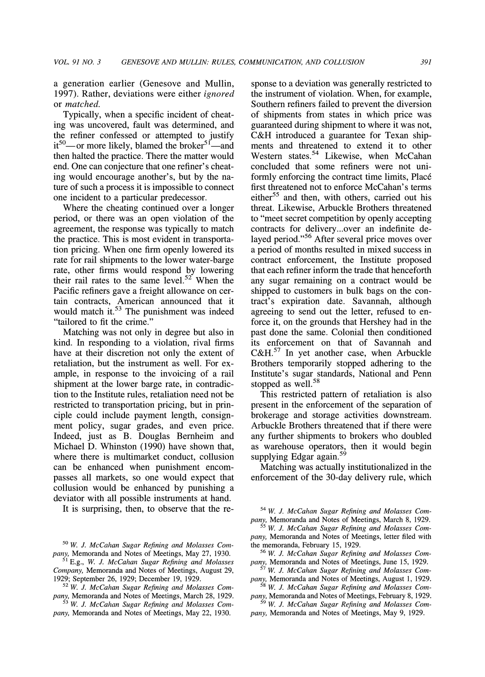**a generation earlier (Genesove and Mullin, 1997). Rather, deviations were either ignored or matched.** 

**Typically, when a specific incident of cheating was uncovered, fault was determined, and the refiner confessed or attempted to justify**  it<sup>50</sup>—or more likely, blamed the broker<sup>51</sup>—and **then halted the practice. There the matter would**  end. One can conjecture that one refiner's cheat**ing would encourage another's, but by the nature of such a process it is impossible to connect one incident to a particular predecessor.** 

**Where the cheating continued over a longer period, or there was an open violation of the agreement, the response was typically to match the practice. This is most evident in transportation pricing. When one firm openly lowered its rate for rail shipments to the lower water-barge rate, other firms would respond by lowering their rail rates to the same level.52 When the Pacific refiners gave a freight allowance on certain contracts, American announced that it would match it.53 The punishment was indeed "tailored to fit the crime."** 

**Matching was not only in degree but also in kind. In responding to a violation, rival firms have at their discretion not only the extent of retaliation, but the instrument as well. For example, in response to the invoicing of a rail shipment at the lower barge rate, in contradiction to the Institute rules, retaliation need not be restricted to transportation pricing, but in principle could include payment length, consignment policy, sugar grades, and even price. Indeed, just as B. Douglas Bemheim and Michael D. Whinston (1990) have shown that, where there is multimarket conduct, collusion can be enhanced when punishment encompasses all markets, so one would expect that collusion would be enhanced by punishing a deviator with all possible instruments at hand.** 

It is surprising, then, to observe that the re-

**sponse to a deviation was generally restricted to the instrument of violation. When, for example, Southern refiners failed to prevent the diversion of shipments from states in which price was guaranteed during shipment to where it was not, C&H introduced a guarantee for Texan shipments and threatened to extend it to other Western states.54 Likewise, when McCahan concluded that some refiners were not uniformly enforcing the contract time limits, Place**  first threatened not to enforce McCahan's terms **either55 and then, with others, carried out his threat. Likewise, Arbuckle Brothers threatened to "meet secret competition by openly accepting contracts for delivery.. .over an indefinite delayed period."56 After several price moves over a period of months resulted in mixed success in contract enforcement, the Institute proposed that each refiner inform the trade that henceforth any sugar remaining on a contract would be shipped to customers in bulk bags on the contract's expiration date. Savannah, although agreeing to send out the letter, refused to enforce it, on the grounds that Hershey had in the past done the same. Colonial then conditioned its enforcement on that of Savannah and C&H.57 In yet another case, when Arbuckle Brothers temporarily stopped adhering to the Institute's sugar standards, National and Penn stopped as well.58** 

**This restricted pattern of retaliation is also present in the enforcement of the separation of brokerage and storage activities downstream. Arbuckle Brothers threatened that if there were any further shipments to brokers who doubled as warehouse operators, then it would begin supplying Edgar again.59** 

**Matching was actually institutionalized in the enforcement of the 30-day delivery rule, which** 

**<sup>50</sup> W. J. McCahan Sugar Refining and Molasses Company, Memoranda and Notes of Meetings, May 27, 1930.** 

**<sup>51</sup>E.g., W. J. McCahan Sugar Refining and Molasses Company, Memoranda and Notes of Meetings, August 29, 1929; September 26, 1929; December 19, 1929.** 

**<sup>52</sup> W. J. McCahan Sugar Refining and Molasses Company, Memoranda and Notes of Meetings, March 28, 1929.** 

**<sup>53</sup> W. J. McCahan Sugar Refining and Molasses Company, Memoranda and Notes of Meetings, May 22, 1930.** 

**<sup>54</sup> W. J. McCahan Sugar Refining and Molasses Company, Memoranda and Notes of Meetings, March 8, 1929.** 

**<sup>55</sup> W. J. McCahan Sugar Refining and Molasses Company, Memoranda and Notes of Meetings, letter filed with the memoranda, February 15, 1929.** 

**<sup>56</sup> W. J. McCahan Sugar Refining and Molasses Company, Memoranda and Notes of Meetings, June 15, 1929.** 

**<sup>57</sup> W. J. McCahan Sugar Refining and Molasses Company, Memoranda and Notes of Meetings, August 1, 1929. 58 W. J. McCahan Sugar Refining and Molasses Com-**

**pany, Memoranda and Notes of Meetings, February 8, 1929. 59 W. J. McCahan Sugar Refining and Molasses Com-**

**pany, Memoranda and Notes of Meetings, May 9, 1929.**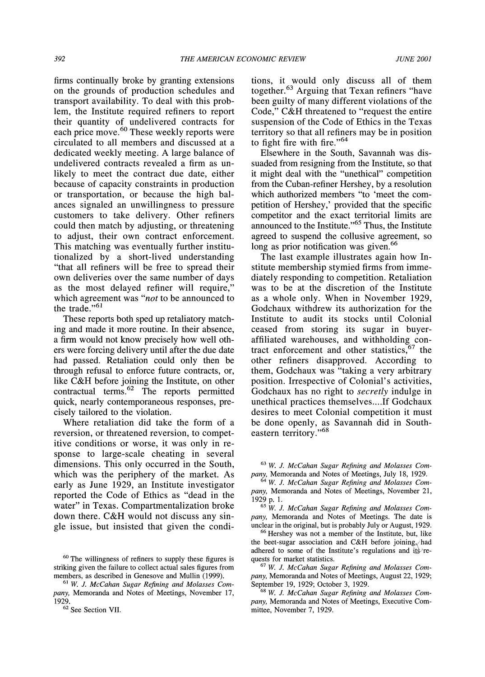**firms continually broke by granting extensions on the grounds of production schedules and transport availability. To deal with this problem, the Institute required refiners to report their quantity of undelivered contracts for**  each price move.<sup>60</sup> These weekly reports were **circulated to all members and discussed at a dedicated weekly meeting. A large balance of undelivered contracts revealed a firm as unlikely to meet the contract due date, either because of capacity constraints in production or transportation, or because the high balances signaled an unwillingness to pressure customers to take delivery. Other refiners could then match by adjusting, or threatening to adjust, their own contract enforcement. This matching was eventually further institutionalized by a short-lived understanding "that all refiners will be free to spread their own deliveries over the same number of days as the most delayed refiner will require," which agreement was "not to be announced to the trade."61** 

**These reports both sped up retaliatory matching and made it more routine. In their absence, a firm would not know precisely how well others were forcing delivery until after the due date had passed. Retaliation could only then be through refusal to enforce future contracts, or, like C&H before joining the Institute, on other contractual terms.62 The reports permitted quick, nearly contemporaneous responses, precisely tailored to the violation.** 

**Where retaliation did take the form of a reversion, or threatened reversion, to competitive conditions or worse, it was only in response to large-scale cheating in several dimensions. This only occurred in the South, which was the periphery of the market. As early as June 1929, an Institute investigator reported the Code of Ethics as "dead in the water" in Texas. Compartmentalization broke down there. C&H would not discuss any single issue, but insisted that given the condi-** **tions, it would only discuss all of them together.63 Arguing that Texan refiners "have been guilty of many different violations of the Code," C&H threatened to "request the entire suspension of the Code of Ethics in the Texas territory so that all refiners may be in position to fight fire with fire."64** 

**Elsewhere in the South, Savannah was dissuaded from resigning from the Institute, so that it might deal with the "unethical" competition from the Cuban-refiner Hershey, by a resolution which authorized members "to 'meet the competition of Hershey,' provided that the specific competitor and the exact territorial limits are announced to the Institute."65 Thus, the Institute agreed to suspend the collusive agreement, so**  long as prior notification was given.<sup>66</sup>

**The last example illustrates again how Institute membership stymied firms from immediately responding to competition. Retaliation was to be at the discretion of the Institute as a whole only. When in November 1929, Godchaux withdrew its authorization for the Institute to audit its stocks until Colonial ceased from storing its sugar in buyeraffiliated warehouses, and withholding contract enforcement and other statistics,67 the other refiners disapproved. According to them, Godchaux was "taking a very arbitrary position. Irrespective of Colonial's activities, Godchaux has no right to secretly indulge in unethical practices themselves... If Godchaux desires to meet Colonial competition it must be done openly, as Savannah did in Southeastern territory."68** 

**<sup>63</sup>W. J. McCahan Sugar Refining and Molasses Company, Memoranda and Notes of Meetings, July 18, 1929.** 

**<sup>64</sup>W. J. McCahan Sugar Refining and Molasses Company, Memoranda and Notes of Meetings, November 21, 1929 p. 1.** 

**65 W. J. McCahan Sugar Refining and Molasses Company, Memoranda and Notes of Meetings. The date is unclear in the original, but is probably July or August, 1929.** 

**<sup>66</sup>Hershey was not a member of the Institute, but, like**  the beet-sugar association and C&H before joining, had adhered to some of the Institute's regulations and its<sup>7</sup>re**quests for market statistics.** 

**67 W. J. McCahan Sugar Refining and Molasses Company, Memoranda and Notes of Meetings, August 22, 1929; September 19, 1929; October 3, 1929.** 

**68 W. J. McCahan Sugar Refining and Molasses Company, Memoranda and Notes of Meetings, Executive Committee, November 7, 1929.** 

**<sup>60</sup>The willingness of refiners to supply these figures is striking given the failure to collect actual sales figures from members, as described in Genesove and Mullin (1999).** 

**<sup>61</sup> W. J. McCahan Sugar Refining and Molasses Company, Memoranda and Notes of Meetings, November 17, 1929.** 

**<sup>62</sup>See Section VII.**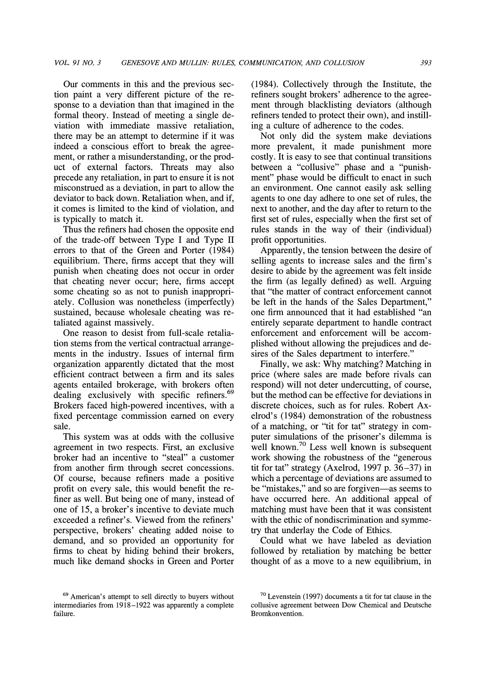**Our comments in this and the previous section paint a very different picture of the response to a deviation than that imagined in the formal theory. Instead of meeting a single deviation with immediate massive retaliation, there may be an attempt to determine if it was indeed a conscious effort to break the agreement, or rather a misunderstanding, or the product of external factors. Threats may also precede any retaliation, in part to ensure it is not misconstrued as a deviation, in part to allow the deviator to back down. Retaliation when, and if, it comes is limited to the kind of violation, and is typically to match it.** 

**Thus the refiners had chosen the opposite end of the trade-off between Type I and Type II errors to that of the Green and Porter (1984) equilibrium. There, firms accept that they will punish when cheating does not occur in order that cheating never occur; here, firms accept some cheating so as not to punish inappropriately. Collusion was nonetheless (imperfectly) sustained, because wholesale cheating was retaliated against massively.** 

**One reason to desist from full-scale retaliation stems from the vertical contractual arrangements in the industry. Issues of internal firm organization apparently dictated that the most efficient contract between a firm and its sales agents entailed brokerage, with brokers often dealing exclusively with specific refiners.69 Brokers faced high-powered incentives, with a fixed percentage commission earned on every sale.** 

**This system was at odds with the collusive agreement in two respects. First, an exclusive broker had an incentive to "steal" a customer from another firm through secret concessions. Of course, because refiners made a positive profit on every sale, this would benefit the refiner as well. But being one of many, instead of one of 15, a broker's incentive to deviate much exceeded a refiner's. Viewed from the refiners' perspective, brokers' cheating added noise to demand, and so provided an opportunity for firms to cheat by hiding behind their brokers, much like demand shocks in Green and Porter**  **(1984). Collectively through the Institute, the refiners sought brokers' adherence to the agreement through blacklisting deviators (although refiners tended to protect their own), and instilling a culture of adherence to the codes.** 

**Not only did the system make deviations more prevalent, it made punishment more costly. It is easy to see that continual transitions between a "collusive" phase and a "punishment" phase would be difficult to enact in such an environment. One cannot easily ask selling agents to one day adhere to one set of rules, the next to another, and the day after to return to the first set of rules, especially when the first set of rules stands in the way of their (individual) profit opportunities.** 

**Apparently, the tension between the desire of selling agents to increase sales and the firm's desire to abide by the agreement was felt inside the firm (as legally defined) as well. Arguing that "the matter of contract enforcement cannot be left in the hands of the Sales Department," one firm announced that it had established "an entirely separate department to handle contract enforcement and enforcement will be accomplished without allowing the prejudices and desires of the Sales department to interfere."** 

**Finally, we ask: Why matching? Matching in price (where sales are made before rivals can respond) will not deter undercutting, of course, but the method can be effective for deviations in discrete choices, such as for rules. Robert Axelrod's (1984) demonstration of the robustness of a matching, or "tit for tat" strategy in computer simulations of the prisoner's dilemma is well known.70 Less well known is subsequent work showing the robustness of the "generous tit for tat" strategy (Axelrod, 1997 p. 36-37) in which a percentage of deviations are assumed to**  be "mistakes," and so are forgiven-as seems to **have occurred here. An additional appeal of matching must have been that it was consistent with the ethic of nondiscrimination and symmetry that underlay the Code of Ethics.** 

**Could what we have labeled as deviation followed by retaliation by matching be better thought of as a move to a new equilibrium, in** 

**<sup>69</sup>American's attempt to sell directly to buyers without intermediaries from 1918-1922 was apparently a complete failure.** 

**<sup>70</sup>Levenstein (1997) documents a tit for tat clause in the collusive agreement between Dow Chemical and Deutsche Bromkonvention.**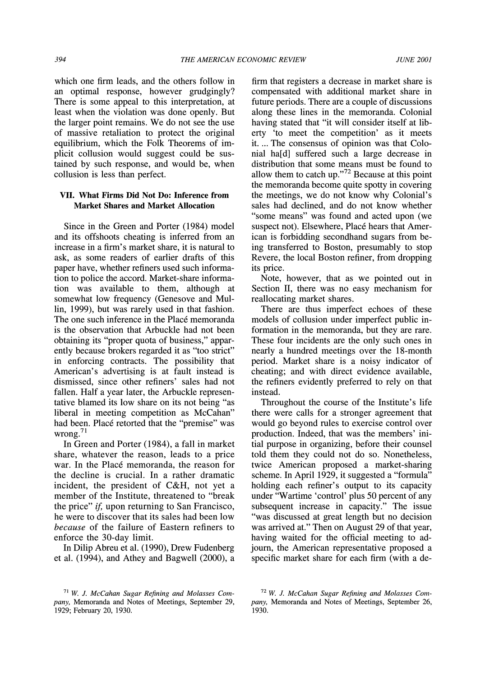**which one firm leads, and the others follow in an optimal response, however grudgingly? There is some appeal to this interpretation, at least when the violation was done openly. But the larger point remains. We do not see the use of massive retaliation to protect the original equilibrium, which the Folk Theorems of implicit collusion would suggest could be sustained by such response, and would be, when collusion is less than perfect.** 

# **VII. What Firms Did Not Do: Inference from Market Shares and Market Allocation**

**Since in the Green and Porter (1984) model and its offshoots cheating is inferred from an increase in a firm's market share, it is natural to ask, as some readers of earlier drafts of this paper have, whether refiners used such information to police the accord. Market-share information was available to them, although at somewhat low frequency (Genesove and Mullin, 1999), but was rarely used in that fashion. The one such inference in the Place memoranda is the observation that Arbuckle had not been obtaining its "proper quota of business," apparently because brokers regarded it as "too strict" in enforcing contracts. The possibility that American's advertising is at fault instead is dismissed, since other refiners' sales had not fallen. Half a year later, the Arbuckle representative blamed its low share on its not being "as liberal in meeting competition as McCahan"**  had been. Placé retorted that the "premise" was **wrong.71** 

**In Green and Porter (1984), a fall in market share, whatever the reason, leads to a price war. In the Place memoranda, the reason for the decline is crucial. In a rather dramatic incident, the president of C&H, not yet a member of the Institute, threatened to "break the price" if, upon returning to San Francisco, he were to discover that its sales had been low because of the failure of Eastern refiners to enforce the 30-day limit.** 

**In Dilip Abreu et al. (1990), Drew Fudenberg et al. (1994), and Athey and Bagwell (2000), a** 

**firm that registers a decrease in market share is compensated with additional market share in future periods. There are a couple of discussions along these lines in the memoranda. Colonial having stated that "it will consider itself at liberty 'to meet the competition' as it meets it.... The consensus of opinion was that Colonial ha[d] suffered such a large decrease in distribution that some means must be found to allow them to catch up."72 Because at this point the memoranda become quite spotty in covering the meetings, we do not know why Colonial's sales had declined, and do not know whether ''some means' was found and acted upon (we suspect not). Elsewhere, Place hears that American is forbidding secondhand sugars from being transferred to Boston, presumably to stop Revere, the local Boston refiner, from dropping its price.** 

**Note, however, that as we pointed out in Section II, there was no easy mechanism for reallocating market shares.** 

**There are thus imperfect echoes of these models of collusion under imperfect public information in the memoranda, but they are rare. These four incidents are the only such ones in nearly a hundred meetings over the 18-month period. Market share is a noisy indicator of cheating; and with direct evidence available, the refiners evidently preferred to rely on that instead.** 

**Throughout the course of the Institute's life there were calls for a stronger agreement that would go beyond rules to exercise control over production. Indeed, that was the members' initial purpose in organizing, before their counsel told them they could not do so. Nonetheless, twice American proposed a market-sharing scheme. In April 1929, it suggested a "formula" holding each refiner's output to its capacity under "Wartime 'control' plus 50 percent of any subsequent increase in capacity." The issue "was discussed at great length but no decision was arrived at." Then on August 29 of that year, having waited for the official meeting to adjoum, the American representative proposed a specific market share for each firm (with a de-**

**<sup>71</sup>W. J. McCahan Sugar Refining and Molasses Company, Memoranda and Notes of Meetings, September 29, 1929; February 20, 1930.** 

**<sup>72</sup>W. J. McCahan Sugar Refining and Molasses Company, Memoranda and Notes of Meetings, September 26, 1930.**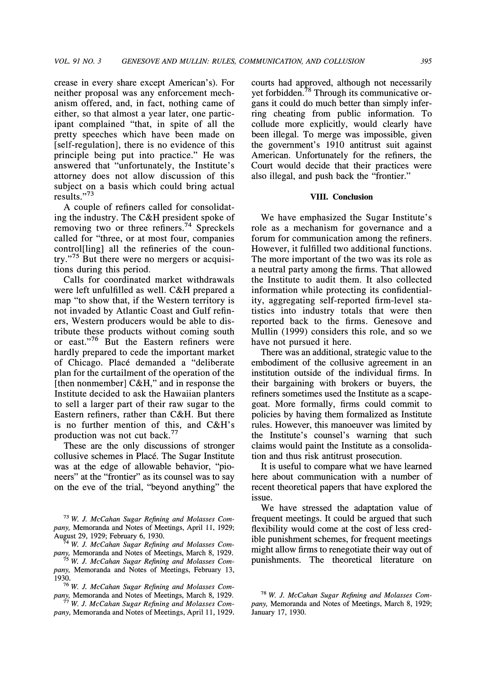**crease in every share except American's). For neither proposal was any enforcement mechanism offered, and, in fact, nothing came of either, so that almost a year later, one participant complained "that, in spite of all the pretty speeches which have been made on [self-regulation], there is no evidence of this principle being put into practice." He was answered that "unfortunately, the Institute's attorney does not allow discussion of this subject on a basis which could bring actual results."73** 

**A couple of refiners called for consolidating the industry. The C&H president spoke of removing two or three refiners.74 Spreckels called for "three, or at most four, companies control[ling] all the refineries of the country."75 But there were no mergers or acquisitions during this period.** 

**Calls for coordinated market withdrawals were left unfulfilled as well. C&H prepared a map "to show that, if the Western territory is not invaded by Atlantic Coast and Gulf refiners, Western producers would be able to distribute these products without coming south or east."76 But the Eastern refiners were hardly prepared to cede the important market of Chicago. Place demanded a "deliberate plan for the curtailment of the operation of the [then nonmember] C&H," and in response the Institute decided to ask the Hawaiian planters to sell a larger part of their raw sugar to the Eastern refiners, rather than C&H. But there**  is no further mention of this, and C&H's **production was not cut back.77** 

**These are the only discussions of stronger collusive schemes in Place. The Sugar Institute was at the edge of allowable behavior, "pioneers" at the "frontier" as its counsel was to say on the eve of the trial, "beyond anything" the** 

**73 W. J. McCahan Sugar Refining and Molasses Company, Memoranda and Notes of Meetings, April 11, 1929; August 29, 1929; February 6, 1930.** 

**74 W. J. McCahan Sugar Refining and Molasses Company, Memoranda and Notes of Meetings, March 8, 1929.** 

**75 W. J. McCahan Sugar Refining and Molasses Company, Memoranda and Notes of Meetings, February 13, 1930.** 

**76 W. J. McCahan Sugar Refining and Molasses Company, Memoranda and Notes of Meetings, March 8, 1929.** 

**77 W. J. McCahan Sugar Refining and Molasses Company, Memoranda and Notes of Meetings, April 11, 1929.**  **courts had approved, although not necessarily yet forbidden. 78 Through its communicative organs it could do much better than simply inferring cheating from public information. To collude more explicitly, would clearly have been illegal. To merge was impossible, given the government's 1910 antitrust suit against American. Unfortunately for the refiners, the Court would decide that their practices were also illegal, and push back the "frontier."** 

## **VIII. Conclusion**

**We have emphasized the Sugar Institute's role as a mechanism for governance and a forum for communication among the refiners. However, it fulfilled two additional functions. The more important of the two was its role as a neutral party among the firms. That allowed the Institute to audit them. It also collected information while protecting its confidentiality, aggregating self-reported firm-level statistics into industry totals that were then reported back to the firms. Genesove and Mullin (1999) considers this role, and so we have not pursued it here.** 

**There was an additional, strategic value to the embodiment of the collusive agreement in an institution outside of the individual firms. In their bargaining with brokers or buyers, the refiners sometimes used the Institute as a scapegoat. More formally, firms could commit to policies by having them formalized as Institute rules. However, this manoeuver was limited by the Institute's counsel's warning that such claims would paint the Institute as a consolidation and thus risk antitrust prosecution.** 

**It is useful to compare what we have learned here about communication with a number of recent theoretical papers that have explored the issue.** 

**We have stressed the adaptation value of frequent meetings. It could be argued that such flexibility would come at the cost of less credible punishment schemes, for frequent meetings might allow firms to renegotiate their way out of punishments. The theoretical literature on** 

**<sup>78</sup>W. J. McCahan Sugar Refining and Molasses Company, Memoranda and Notes of Meetings, March 8, 1929; January 17, 1930.**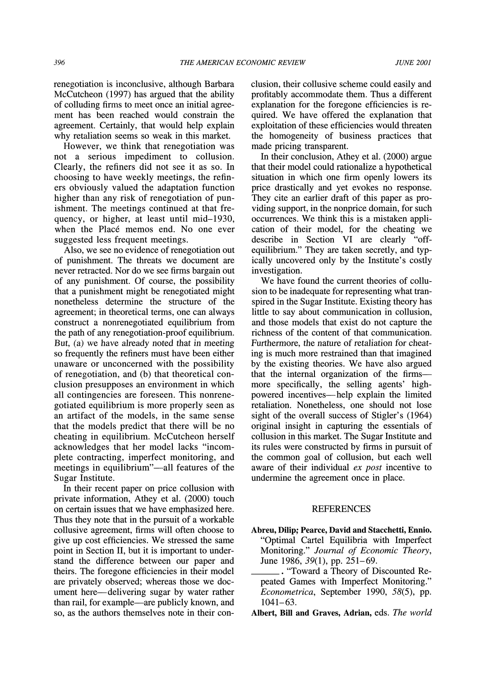**renegotiation is inconclusive, although Barbara McCutcheon (1997) has argued that the ability of colluding firms to meet once an initial agreement has been reached would constrain the agreement. Certainly, that would help explain why retaliation seems so weak in this market.** 

**However, we think that renegotiation was not a serious impediment to collusion. Clearly, the refiners did not see it as so. In choosing to have weekly meetings, the refiners obviously valued the adaptation function higher than any risk of renegotiation of punishment. The meetings continued at that frequency, or higher, at least until mid-1930, when the Place memos end. No one ever suggested less frequent meetings.** 

**Also, we see no evidence of renegotiation out of punishment. The threats we document are never retracted. Nor do we see firms bargain out of any punishment. Of course, the possibility that a punishment might be renegotiated might nonetheless determine the structure of the agreement; in theoretical terms, one can always construct a nonrenegotiated equilibrium from the path of any renegotiation-proof equilibrium. But, (a) we have already noted that in meeting so frequently the refiners must have been either unaware or unconcerned with the possibility of renegotiation, and (b) that theoretical conclusion presupposes an environment in which all contingencies are foreseen. This nonrenegotiated equilibrium is more properly seen as an artifact of the models, in the same sense that the models predict that there will be no cheating in equilibrium. McCutcheon herself acknowledges that her model lacks "incomplete contracting, imperfect monitoring, and**  meetings in equilibrium"—all features of the **Sugar Institute.** 

**In their recent paper on price collusion with private information, Athey et al. (2000) touch on certain issues that we have emphasized here. Thus they note that in the pursuit of a workable collusive agreement, firms will often choose to give up cost efficiencies. We stressed the same point in Section II, but it is important to understand the difference between our paper and theirs. The foregone efficiencies in their model are privately observed; whereas those we document here-delivering sugar by water rather than rail, for example-are publicly known, and so, as the authors themselves note in their con-** **clusion, their collusive scheme could easily and profitably accommodate them. Thus a different explanation for the foregone efficiencies is required. We have offered the explanation that exploitation of these efficiencies would threaten the homogeneity of business practices that made pricing transparent.** 

**In their conclusion, Athey et al. (2000) argue that their model could rationalize a hypothetical situation in which one firm openly lowers its price drastically and yet evokes no response. They cite an earlier draft of this paper as providing support, in the nonprice domain, for such occurrences. We think this is a mistaken application of their model, for the cheating we describe in Section VI are clearly "offequilibrium." They are taken secretly, and typically uncovered only by the Institute's costly investigation.** 

**We have found the current theories of collusion to be inadequate for representing what transpired in the Sugar Institute. Existing theory has little to say about communication in collusion, and those models that exist do not capture the richness of the content of that communication. Furthermore, the nature of retaliation for cheating is much more restrained than that imagined by the existing theories. We have also argued that the internal organization of the firmsmore specifically, the selling agents' highpowered incentives-help explain the limited retaliation. Nonetheless, one should not lose sight of the overall success of Stigler's (1964) original insight in capturing the essentials of collusion in this market. The Sugar Institute and its rules were constructed by firms in pursuit of the common goal of collusion, but each well aware of their individual ex post incentive to undermine the agreement once in place.** 

## **REFERENCES**

**Abreu, Dilip; Pearce, David and Stacchetti, Ennio. "Optimal Cartel Equilibria with Imperfect Monitoring." Journal of Economic Theory, June 1986, 39(1), pp. 251-69.** 

**. "Toward a Theory of Discounted Repeated Games with Imperfect Monitoring." Econometrica, September 1990, 58(5), pp. 1041-63.** 

**Albert, Bill and Graves, Adrian, eds. The world**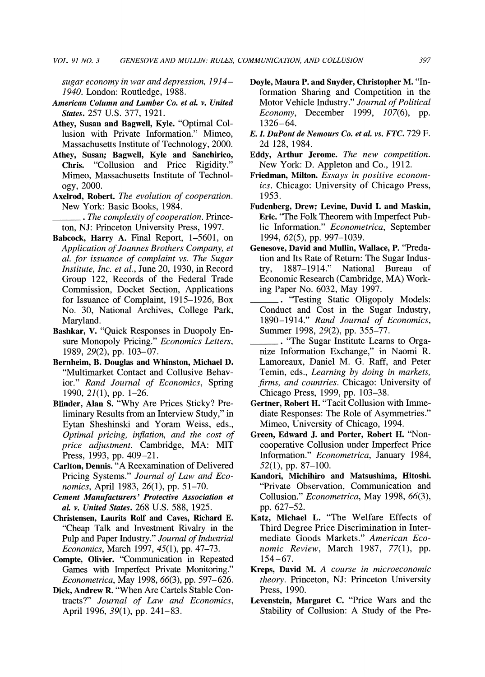**sugar economy in war and depression, 1914- 1940. London: Routledge, 1988.** 

- **American Column and Lumber Co. et al. v. United States. 257 U.S. 377, 1921.**
- **Athey, Susan and Bagwell, Kyle. "Optimal Collusion with Private Information." Mimeo, Massachusetts Institute of Technology, 2000.**
- **Athey, Susan; Bagwell, Kyle and Sanchirico, Chris. "Collusion and Price Rigidity." Mimeo, Massachusetts Institute of Technology, 2000.**
- **Axelrod, Robert. The evolution of cooperation. New York: Basic Books, 1984.**
- **. The complexity of cooperation. Princeton, NJ: Princeton University Press, 1997.**
- **Babcock, Harry A. Final Report, 1-5601, on Application of Joannes Brothers Company, et al. for issuance of complaint vs. The Sugar Institute, Inc. et al., June 20, 1930, in Record Group 122, Records of the Federal Trade Commission, Docket Section, Applications for Issuance of Complaint, 1915-1926, Box No. 30, National Archives, College Park, Maryland.**
- **Bashkar, V. "Quick Responses in Duopoly Ensure Monopoly Pricing." Economics Letters, 1989, 29(2), pp. 103-07.**
- **Bernheim, B. Douglas and Whinston, Michael D. "Multimarket Contact and Collusive Behavior." Rand Journal of Economics, Spring 1990, 21(1), pp. 1-26.**
- **Blinder, Alan S. "Why Are Prices Sticky? Preliminary Results from an Interview Study," in Eytan Sheshinski and Yoram Weiss, eds., Optimal pricing, inflation, and the cost of price adjustment. Cambridge, MA: MIT Press, 1993, pp. 409-21.**
- **Carlton, Dennis. "A Reexamination of Delivered Pricing Systems." Journal of Law and Economics, April 1983, 26(1), pp. 51-70.**
- **Cement Manufacturers' Protective Association et al. v. United States. 268 U.S. 588, 1925.**
- **Christensen, Laurits Rolf and Caves, Richard E. "Cheap Talk and Investment Rivalry in the Pulp and Paper Industry." Journal of Industrial Economics, March 1997, 45(1), pp. 47-73.**
- **Compte, Olivier. "Communication in Repeated Games with Imperfect Private Monitoring." Econometrica, May 1998, 66(3), pp. 597-626.**
- **Dick, Andrew R. "When Are Cartels Stable Contracts?" Journal of Law and Economics, April 1996, 39(1), pp. 241-83.**
- **Doyle, Maura P. and Snyder, Christopher M. "Information Sharing and Competition in the Motor Vehicle Industry." Journal of Political Economy, December 1999, 107(6), pp. 1326-64.**
- **E. L DuPont de Nemours Co. et al. vs. FTC. 729 F. 2d 128, 1984.**
- **Eddy, Arthur Jerome. The new competition. New York: D. Appleton and Co., 1912.**
- **Friedman, Milton. Essays in positive economics. Chicago: University of Chicago Press, 1953.**
- **Fudenberg, Drew; Levine, David I. and Maskin, Eric. "The Folk Theorem with Imperfect Public Information." Econometrica, September 1994, 62(5), pp. 997-1039.**
- **Genesove, David and Mullin, Wallace, P. "Predation and Its Rate of Return: The Sugar Industry, 1887-1914." National Bureau of Economic Research (Cambridge, MA) Working Paper No. 6032, May 1997.**
- **. "Testing Static Oligopoly Models: Conduct and Cost in the Sugar Industry, 1890-1914." Rand Journal of Economics, Summer 1998, 29(2), pp. 355-77.**
- **. "The Sugar Institute Learns to Organize Information Exchange," in Naomi R. Lamoreaux, Daniel M. G. Raff, and Peter Temin, eds., Learning by doing in markets, firms, and countries. Chicago: University of Chicago Press, 1999, pp. 103-38.**
- **Gertner, Robert H. "Tacit Collusion with Immediate Responses: The Role of Asymmetries." Mimeo, University of Chicago, 1994.**
- **Green, Edward J. and Porter, Robert H. "Noncooperative Collusion under Imperfect Price Information." Econometrica, January 1984, 52(1), pp. 87-100.**
- **Kandori, Michihiro and Matsushima, Hitoshi. "Private Observation, Communication and Collusion." Econometrica, May 1998, 66(3), pp. 627-52.**
- **Katz, Michael L. "The Welfare Effects of Third Degree Price Discrimination in Intermediate Goods Markets." American Economic Review, March 1987, 77(1), pp. 154-67.**
- **Kreps, David M. A course in microeconomic theory. Princeton, NJ: Princeton University Press, 1990.**
- **Levenstein, Margaret C. "Price Wars and the Stability of Collusion: A Study of the Pre-**